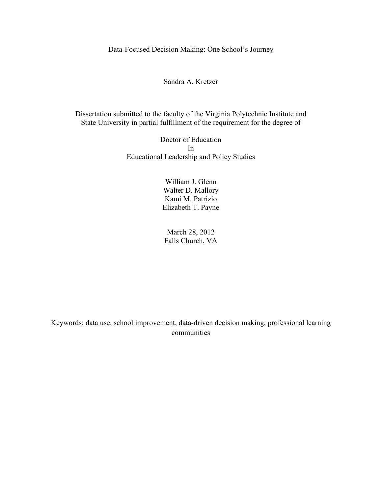Data-Focused Decision Making: One School's Journey

Sandra A. Kretzer

Dissertation submitted to the faculty of the Virginia Polytechnic Institute and State University in partial fulfillment of the requirement for the degree of

> Doctor of Education In Educational Leadership and Policy Studies

> > William J. Glenn Walter D. Mallory Kami M. Patrizio Elizabeth T. Payne

March 28, 2012 Falls Church, VA

Keywords: data use, school improvement, data-driven decision making, professional learning communities